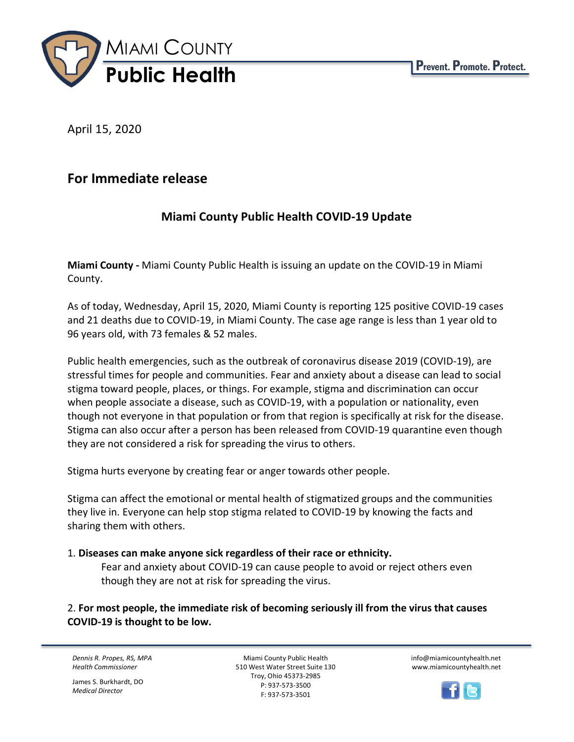

April 15, 2020

# **For Immediate release**

## **Miami County Public Health COVID-19 Update**

**Miami County -** Miami County Public Health is issuing an update on the COVID-19 in Miami County.

As of today, Wednesday, April 15, 2020, Miami County is reporting 125 positive COVID-19 cases and 21 deaths due to COVID-19, in Miami County. The case age range is less than 1 year old to 96 years old, with 73 females & 52 males.

Public health emergencies, such as the outbreak of coronavirus disease 2019 (COVID-19), are stressful times for people and communities. Fear and anxiety about a disease can lead to social stigma toward people, places, or things. For example, stigma and discrimination can occur when people associate a disease, such as COVID-19, with a population or nationality, even though not everyone in that population or from that region is specifically at risk for the disease. Stigma can also occur after a person has been released from COVID-19 quarantine even though they are not considered a risk for spreading the virus to others.

Stigma hurts everyone by creating fear or anger towards other people.

Stigma can affect the emotional or mental health of stigmatized groups and the communities they live in. Everyone can help stop stigma related to COVID-19 by knowing the facts and sharing them with others.

#### 1. **Diseases can make anyone sick regardless of their race or ethnicity.**

Fear and anxiety about COVID-19 can cause people to avoid or reject others even though they are not at risk for spreading the virus.

2. **For most people, the immediate risk of becoming seriously ill from the virus that causes COVID-19 is thought to be low.**

*Dennis R. Propes, RS, MPA Health Commissioner*

James S. Burkhardt, DO *Medical Director*

Miami County Public Health 510 West Water Street Suite 130 Troy, Ohio 45373-2985 P: 937-573-3500 F: 937-573-3501

info@miamicountyhealth.net www.miamicountyhealth.net